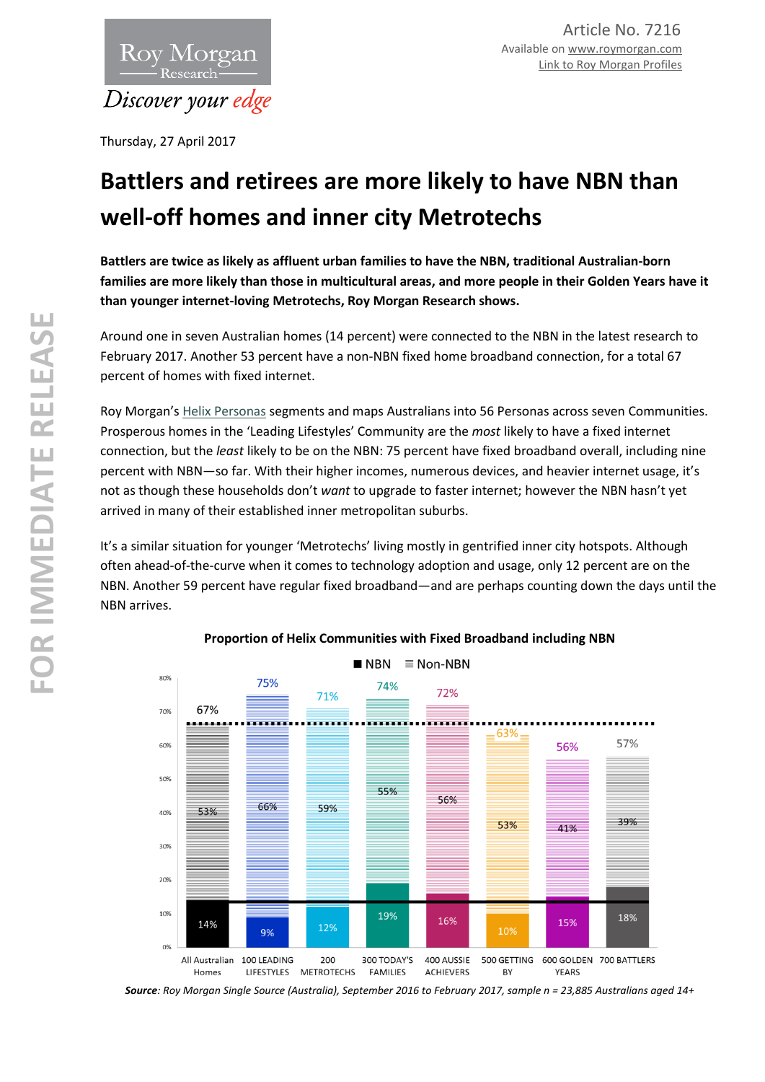

Thursday, 27 April 2017

## **Battlers and retirees are more likely to have NBN than well-off homes and inner city Metrotechs**

**Battlers are twice as likely as affluent urban families to have the NBN, traditional Australian-born families are more likely than those in multicultural areas, and more people in their Golden Years have it than younger internet-loving Metrotechs, Roy Morgan Research shows.**

Around one in seven Australian homes (14 percent) were connected to the NBN in the latest research to February 2017. Another 53 percent have a non-NBN fixed home broadband connection, for a total 67 percent of homes with fixed internet.

Roy Morgan's [Helix Personas](http://helixpersonas.com.au/) segments and maps Australians into 56 Personas across seven Communities. Prosperous homes in the 'Leading Lifestyles' Community are the *most* likely to have a fixed internet connection, but the *least* likely to be on the NBN: 75 percent have fixed broadband overall, including nine percent with NBN—so far. With their higher incomes, numerous devices, and heavier internet usage, it's not as though these households don't *want* to upgrade to faster internet; however the NBN hasn't yet arrived in many of their established inner metropolitan suburbs.

It's a similar situation for younger 'Metrotechs' living mostly in gentrified inner city hotspots. Although often ahead-of-the-curve when it comes to technology adoption and usage, only 12 percent are on the NBN. Another 59 percent have regular fixed broadband—and are perhaps counting down the days until the NBN arrives.



## **Proportion of Helix Communities with Fixed Broadband including NBN**

*Source: Roy Morgan Single Source (Australia), September 2016 to February 2017, sample n = 23,885 Australians aged 14+*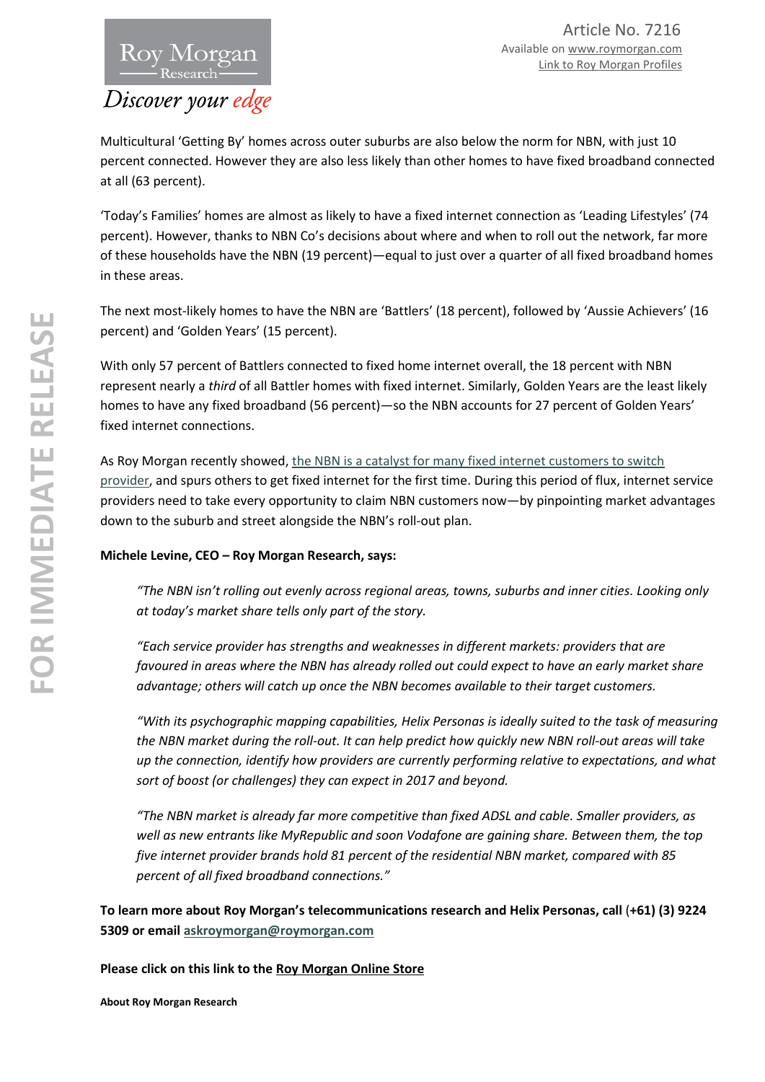

Multicultural 'Getting By' homes across outer suburbs are also below the norm for NBN, with just 10 percent connected. However they are also less likely than other homes to have fixed broadband connected at all (63 percent).

'Today's Families' homes are almost as likely to have a fixed internet connection as 'Leading Lifestyles' (74 percent). However, thanks to NBN Co's decisions about where and when to roll out the network, far more of these households have the NBN (19 percent)—equal to just over a quarter of all fixed broadband homes in these areas.

The next most-likely homes to have the NBN are 'Battlers' (18 percent), followed by 'Aussie Achievers' (16 percent) and 'Golden Years' (15 percent).

With only 57 percent of Battlers connected to fixed home internet overall, the 18 percent with NBN represent nearly a *third* of all Battler homes with fixed internet. Similarly, Golden Years are the least likely homes to have any fixed broadband (56 percent)—so the NBN accounts for 27 percent of Golden Years' fixed internet connections.

As Roy Morgan recently showed, the NBN is a catalyst for many fixed internet customers to switch [provider,](http://roymorgan.com.au/findings/7200-nbn-homes-new-fixed-internet-entrants-and-swtichers-december-2016-201703301042) and spurs others to get fixed internet for the first time. During this period of flux, internet service providers need to take every opportunity to claim NBN customers now—by pinpointing market advantages down to the suburb and street alongside the NBN's roll-out plan.

## **Michele Levine, CEO – Roy Morgan Research, says:**

*"The NBN isn't rolling out evenly across regional areas, towns, suburbs and inner cities. Looking only at today's market share tells only part of the story.* 

*"Each service provider has strengths and weaknesses in different markets: providers that are favoured in areas where the NBN has already rolled out could expect to have an early market share advantage; others will catch up once the NBN becomes available to their target customers.* 

*"With its psychographic mapping capabilities, Helix Personas is ideally suited to the task of measuring the NBN market during the roll-out. It can help predict how quickly new NBN roll-out areas will take up the connection, identify how providers are currently performing relative to expectations, and what sort of boost (or challenges) they can expect in 2017 and beyond.*

*"The NBN market is already far more competitive than fixed ADSL and cable. Smaller providers, as well as new entrants like MyRepublic and soon Vodafone are gaining share. Between them, the top five internet provider brands hold 81 percent of the residential NBN market, compared with 85 percent of all fixed broadband connections."*

**To learn more about Roy Morgan's telecommunications research and Helix Personas, call** (**+61) (3) 9224 5309 or email [askroymorgan@roymorgan.com](mailto:askroymorgan@roymorgan.com)**

**Please click on this link to the [Roy Morgan Online Store](http://www.roymorganonlinestore.com/)**

**About Roy Morgan Research**